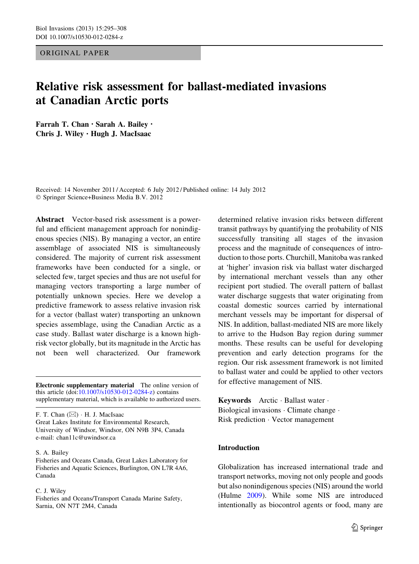ORIGINAL PAPER

# Relative risk assessment for ballast-mediated invasions at Canadian Arctic ports

Farrah T. Chan • Sarah A. Bailey • Chris J. Wiley • Hugh J. MacIsaac

Received: 14 November 2011 / Accepted: 6 July 2012 / Published online: 14 July 2012 © Springer Science+Business Media B.V. 2012

Abstract Vector-based risk assessment is a powerful and efficient management approach for nonindigenous species (NIS). By managing a vector, an entire assemblage of associated NIS is simultaneously considered. The majority of current risk assessment frameworks have been conducted for a single, or selected few, target species and thus are not useful for managing vectors transporting a large number of potentially unknown species. Here we develop a predictive framework to assess relative invasion risk for a vector (ballast water) transporting an unknown species assemblage, using the Canadian Arctic as a case study. Ballast water discharge is a known highrisk vector globally, but its magnitude in the Arctic has not been well characterized. Our framework

Electronic supplementary material The online version of this article (doi[:10.1007/s10530-012-0284-z](http://dx.doi.org/10.1007/s10530-012-0284-z)) contains supplementary material, which is available to authorized users.

F. T. Chan  $(\boxtimes)$   $\cdot$  H. J. MacIsaac Great Lakes Institute for Environmental Research, University of Windsor, Windsor, ON N9B 3P4, Canada e-mail: chan11c@uwindsor.ca

#### S. A. Bailey

Fisheries and Oceans Canada, Great Lakes Laboratory for Fisheries and Aquatic Sciences, Burlington, ON L7R 4A6, Canada

#### C. J. Wiley

Fisheries and Oceans/Transport Canada Marine Safety, Sarnia, ON N7T 2M4, Canada

determined relative invasion risks between different transit pathways by quantifying the probability of NIS successfully transiting all stages of the invasion process and the magnitude of consequences of introduction to those ports. Churchill, Manitoba was ranked at 'higher' invasion risk via ballast water discharged by international merchant vessels than any other recipient port studied. The overall pattern of ballast water discharge suggests that water originating from coastal domestic sources carried by international merchant vessels may be important for dispersal of NIS. In addition, ballast-mediated NIS are more likely to arrive to the Hudson Bay region during summer months. These results can be useful for developing prevention and early detection programs for the region. Our risk assessment framework is not limited to ballast water and could be applied to other vectors for effective management of NIS.

Keywords Arctic · Ballast water · Biological invasions - Climate change - Risk prediction - Vector management

# Introduction

Globalization has increased international trade and transport networks, moving not only people and goods but also nonindigenous species (NIS) around the world (Hulme [2009](#page-11-0)). While some NIS are introduced intentionally as biocontrol agents or food, many are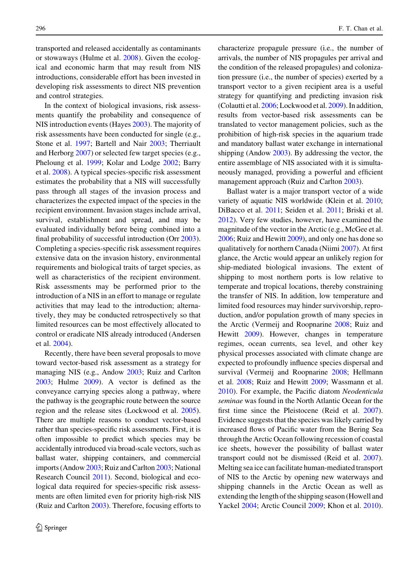transported and released accidentally as contaminants or stowaways (Hulme et al. [2008\)](#page-11-0). Given the ecological and economic harm that may result from NIS introductions, considerable effort has been invested in developing risk assessments to direct NIS prevention and control strategies.

In the context of biological invasions, risk assessments quantify the probability and consequence of NIS introduction events (Hayes [2003\)](#page-11-0). The majority of risk assessments have been conducted for single (e.g., Stone et al. [1997;](#page-13-0) Bartell and Nair [2003](#page-11-0); Therriault and Herborg [2007\)](#page-13-0) or selected few target species (e.g., Pheloung et al. [1999;](#page-12-0) Kolar and Lodge [2002;](#page-12-0) Barry et al. [2008](#page-11-0)). A typical species-specific risk assessment estimates the probability that a NIS will successfully pass through all stages of the invasion process and characterizes the expected impact of the species in the recipient environment. Invasion stages include arrival, survival, establishment and spread, and may be evaluated individually before being combined into a final probability of successful introduction (Orr [2003](#page-12-0)). Completing a species-specific risk assessment requires extensive data on the invasion history, environmental requirements and biological traits of target species, as well as characteristics of the recipient environment. Risk assessments may be performed prior to the introduction of a NIS in an effort to manage or regulate activities that may lead to the introduction; alternatively, they may be conducted retrospectively so that limited resources can be most effectively allocated to control or eradicate NIS already introduced (Andersen et al. [2004](#page-10-0)).

Recently, there have been several proposals to move toward vector-based risk assessment as a strategy for managing NIS (e.g., Andow [2003](#page-10-0); Ruiz and Carlton [2003](#page-12-0); Hulme [2009](#page-11-0)). A vector is defined as the conveyance carrying species along a pathway, where the pathway is the geographic route between the source region and the release sites (Lockwood et al. [2005](#page-12-0)). There are multiple reasons to conduct vector-based rather than species-specific risk assessments. First, it is often impossible to predict which species may be accidentally introduced via broad-scale vectors, such as ballast water, shipping containers, and commercial imports (Andow [2003](#page-10-0); Ruiz and Carlton [2003;](#page-12-0) National Research Council [2011\)](#page-12-0). Second, biological and ecological data required for species-specific risk assessments are often limited even for priority high-risk NIS (Ruiz and Carlton [2003\)](#page-12-0). Therefore, focusing efforts to characterize propagule pressure (i.e., the number of arrivals, the number of NIS propagules per arrival and the condition of the released propagules) and colonization pressure (i.e., the number of species) exerted by a transport vector to a given recipient area is a useful strategy for quantifying and predicting invasion risk (Colautti et al. [2006;](#page-11-0) Lockwood et al. [2009\)](#page-12-0). In addition, results from vector-based risk assessments can be translated to vector management policies, such as the prohibition of high-risk species in the aquarium trade and mandatory ballast water exchange in international shipping (Andow [2003](#page-10-0)). By addressing the vector, the entire assemblage of NIS associated with it is simultaneously managed, providing a powerful and efficient management approach (Ruiz and Carlton [2003](#page-12-0)).

Ballast water is a major transport vector of a wide variety of aquatic NIS worldwide (Klein et al. [2010](#page-12-0); DiBacco et al. [2011](#page-11-0); Seiden et al. [2011](#page-12-0); Briski et al. [2012\)](#page-11-0). Very few studies, however, have examined the magnitude of the vector in the Arctic (e.g., McGee et al. [2006;](#page-12-0) Ruiz and Hewitt [2009](#page-12-0)), and only one has done so qualitatively for northern Canada (Niimi [2007](#page-12-0)). At first glance, the Arctic would appear an unlikely region for ship-mediated biological invasions. The extent of shipping to most northern ports is low relative to temperate and tropical locations, thereby constraining the transfer of NIS. In addition, low temperature and limited food resources may hinder survivorship, reproduction, and/or population growth of many species in the Arctic (Vermeij and Roopnarine [2008;](#page-13-0) Ruiz and Hewitt [2009](#page-12-0)). However, changes in temperature regimes, ocean currents, sea level, and other key physical processes associated with climate change are expected to profoundly influence species dispersal and survival (Vermeij and Roopnarine [2008](#page-13-0); Hellmann et al. [2008;](#page-11-0) Ruiz and Hewitt [2009](#page-12-0); Wassmann et al. [2010\)](#page-13-0). For example, the Pacific diatom Neodenticula seminae was found in the North Atlantic Ocean for the first time since the Pleistocene (Reid et al. [2007\)](#page-12-0). Evidence suggests that the species was likely carried by increased flows of Pacific water from the Bering Sea through the Arctic Ocean following recession of coastal ice sheets, however the possibility of ballast water transport could not be dismissed (Reid et al. [2007\)](#page-12-0). Melting sea ice can facilitate human-mediated transport of NIS to the Arctic by opening new waterways and shipping channels in the Arctic Ocean as well as extending the length of the shipping season (Howell and Yackel [2004](#page-11-0); Arctic Council [2009](#page-11-0); Khon et al. [2010\)](#page-12-0).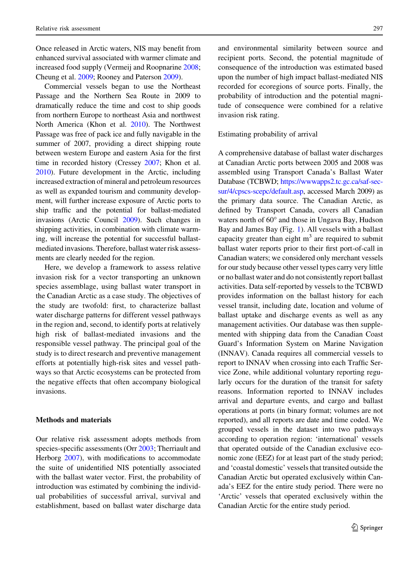Once released in Arctic waters, NIS may benefit from enhanced survival associated with warmer climate and increased food supply (Vermeij and Roopnarine [2008](#page-13-0); Cheung et al. [2009;](#page-11-0) Rooney and Paterson [2009](#page-12-0)).

Commercial vessels began to use the Northeast Passage and the Northern Sea Route in 2009 to dramatically reduce the time and cost to ship goods from northern Europe to northeast Asia and northwest North America (Khon et al. [2010](#page-12-0)). The Northwest Passage was free of pack ice and fully navigable in the summer of 2007, providing a direct shipping route between western Europe and eastern Asia for the first time in recorded history (Cressey [2007](#page-11-0); Khon et al. [2010](#page-12-0)). Future development in the Arctic, including increased extraction of mineral and petroleum resources as well as expanded tourism and community development, will further increase exposure of Arctic ports to ship traffic and the potential for ballast-mediated invasions (Arctic Council [2009\)](#page-11-0). Such changes in shipping activities, in combination with climate warming, will increase the potential for successful ballastmediated invasions. Therefore, ballast water risk assessments are clearly needed for the region.

Here, we develop a framework to assess relative invasion risk for a vector transporting an unknown species assemblage, using ballast water transport in the Canadian Arctic as a case study. The objectives of the study are twofold: first, to characterize ballast water discharge patterns for different vessel pathways in the region and, second, to identify ports at relatively high risk of ballast-mediated invasions and the responsible vessel pathway. The principal goal of the study is to direct research and preventive management efforts at potentially high-risk sites and vessel pathways so that Arctic ecosystems can be protected from the negative effects that often accompany biological invasions.

## Methods and materials

Our relative risk assessment adopts methods from species-specific assessments (Orr [2003;](#page-12-0) Therriault and Herborg [2007](#page-13-0)), with modifications to accommodate the suite of unidentified NIS potentially associated with the ballast water vector. First, the probability of introduction was estimated by combining the individual probabilities of successful arrival, survival and establishment, based on ballast water discharge data and environmental similarity between source and recipient ports. Second, the potential magnitude of consequence of the introduction was estimated based upon the number of high impact ballast-mediated NIS recorded for ecoregions of source ports. Finally, the probability of introduction and the potential magnitude of consequence were combined for a relative invasion risk rating.

## Estimating probability of arrival

A comprehensive database of ballast water discharges at Canadian Arctic ports between 2005 and 2008 was assembled using Transport Canada's Ballast Water Database (TCBWD; [https://wwwapps2.tc.gc.ca/saf-sec](https://wwwapps2.tc.gc.ca/saf-sec-sur/4/cpscs-scepc/default.asp)[sur/4/cpscs-scepc/default.asp](https://wwwapps2.tc.gc.ca/saf-sec-sur/4/cpscs-scepc/default.asp), accessed March 2009) as the primary data source. The Canadian Arctic, as defined by Transport Canada, covers all Canadian waters north of  $60^\circ$  and those in Ungava Bay, Hudson Bay and James Bay (Fig. [1\)](#page-3-0). All vessels with a ballast capacity greater than eight  $m<sup>3</sup>$  are required to submit ballast water reports prior to their first port-of-call in Canadian waters; we considered only merchant vessels for our study because other vessel types carry very little or no ballast water and do not consistently report ballast activities. Data self-reported by vessels to the TCBWD provides information on the ballast history for each vessel transit, including date, location and volume of ballast uptake and discharge events as well as any management activities. Our database was then supplemented with shipping data from the Canadian Coast Guard's Information System on Marine Navigation (INNAV). Canada requires all commercial vessels to report to INNAV when crossing into each Traffic Service Zone, while additional voluntary reporting regularly occurs for the duration of the transit for safety reasons. Information reported to INNAV includes arrival and departure events, and cargo and ballast operations at ports (in binary format; volumes are not reported), and all reports are date and time coded. We grouped vessels in the dataset into two pathways according to operation region: 'international' vessels that operated outside of the Canadian exclusive economic zone (EEZ) for at least part of the study period; and 'coastal domestic' vessels that transited outside the Canadian Arctic but operated exclusively within Canada's EEZ for the entire study period. There were no 'Arctic' vessels that operated exclusively within the Canadian Arctic for the entire study period.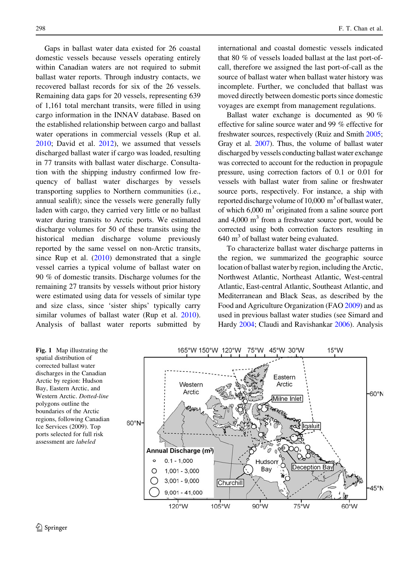<span id="page-3-0"></span>Gaps in ballast water data existed for 26 coastal domestic vessels because vessels operating entirely within Canadian waters are not required to submit ballast water reports. Through industry contacts, we recovered ballast records for six of the 26 vessels. Remaining data gaps for 20 vessels, representing 639 of 1,161 total merchant transits, were filled in using cargo information in the INNAV database. Based on the established relationship between cargo and ballast water operations in commercial vessels (Rup et al. [2010;](#page-12-0) David et al. [2012\)](#page-11-0), we assumed that vessels discharged ballast water if cargo was loaded, resulting in 77 transits with ballast water discharge. Consultation with the shipping industry confirmed low frequency of ballast water discharges by vessels transporting supplies to Northern communities (i.e., annual sealift); since the vessels were generally fully laden with cargo, they carried very little or no ballast water during transits to Arctic ports. We estimated discharge volumes for 50 of these transits using the historical median discharge volume previously reported by the same vessel on non-Arctic transits, since Rup et al.  $(2010)$  $(2010)$  demonstrated that a single vessel carries a typical volume of ballast water on 90 % of domestic transits. Discharge volumes for the remaining 27 transits by vessels without prior history were estimated using data for vessels of similar type and size class, since 'sister ships' typically carry similar volumes of ballast water (Rup et al. [2010](#page-12-0)). Analysis of ballast water reports submitted by international and coastal domestic vessels indicated that 80 % of vessels loaded ballast at the last port-ofcall, therefore we assigned the last port-of-call as the source of ballast water when ballast water history was incomplete. Further, we concluded that ballast was moved directly between domestic ports since domestic voyages are exempt from management regulations.

Ballast water exchange is documented as 90 % effective for saline source water and 99 % effective for freshwater sources, respectively (Ruiz and Smith [2005](#page-12-0); Gray et al. [2007](#page-11-0)). Thus, the volume of ballast water discharged by vessels conducting ballast water exchange was corrected to account for the reduction in propagule pressure, using correction factors of 0.1 or 0.01 for vessels with ballast water from saline or freshwater source ports, respectively. For instance, a ship with reported discharge volume of  $10,000 \text{ m}^3$  of ballast water, of which  $6,000 \text{ m}^3$  originated from a saline source port and  $4,000 \text{ m}^3$  from a freshwater source port, would be corrected using both correction factors resulting in  $640 \text{ m}^3$  of ballast water being evaluated.

To characterize ballast water discharge patterns in the region, we summarized the geographic source location of ballast water by region, including the Arctic, Northwest Atlantic, Northeast Atlantic, West-central Atlantic, East-central Atlantic, Southeast Atlantic, and Mediterranean and Black Seas, as described by the Food and Agriculture Organization (FAO [2009](#page-11-0)) and as used in previous ballast water studies (see Simard and Hardy [2004](#page-12-0); Claudi and Ravishankar [2006](#page-11-0)). Analysis

Fig. 1 Map illustrating the spatial distribution of corrected ballast water discharges in the Canadian Arctic by region: Hudson Bay, Eastern Arctic, and Western Arctic. Dotted-line polygons outline the boundaries of the Arctic regions, following Canadian Ice Services (2009). Top ports selected for full risk assessment are labeled

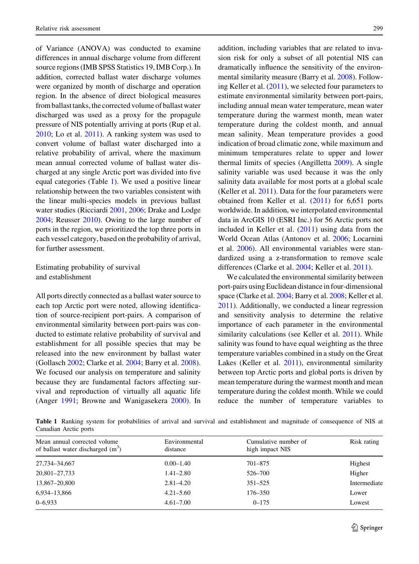<span id="page-4-0"></span>of Variance (ANOVA) was conducted to examine differences in annual discharge volume from different source regions (IMB SPSS Statistics 19, IMB Corp.). In addition, corrected ballast water discharge volumes were organized by month of discharge and operation region. In the absence of direct biological measures from ballast tanks, the corrected volume of ballast water discharged was used as a proxy for the propagule pressure of NIS potentially arriving at ports (Rup et al. [2010;](#page-12-0) Lo et al. [2011](#page-12-0)). A ranking system was used to convert volume of ballast water discharged into a relative probability of arrival, where the maximum mean annual corrected volume of ballast water discharged at any single Arctic port was divided into five equal categories (Table 1). We used a positive linear relationship between the two variables consistent with the linear multi-species models in previous ballast water studies (Ricciardi [2001](#page-12-0), [2006;](#page-12-0) Drake and Lodge [2004;](#page-11-0) Reusser [2010](#page-12-0)). Owing to the large number of ports in the region, we prioritized the top three ports in each vessel category, based on the probability of arrival, for further assessment.

Estimating probability of survival and establishment

All ports directly connected as a ballast water source to each top Arctic port were noted, allowing identification of source-recipient port-pairs. A comparison of environmental similarity between port-pairs was conducted to estimate relative probability of survival and establishment for all possible species that may be released into the new environment by ballast water (Gollasch [2002;](#page-11-0) Clarke et al. [2004](#page-11-0); Barry et al. [2008](#page-11-0)). We focused our analysis on temperature and salinity because they are fundamental factors affecting survival and reproduction of virtually all aquatic life (Anger [1991;](#page-11-0) Browne and Wanigasekera [2000](#page-11-0)). In

addition, including variables that are related to invasion risk for only a subset of all potential NIS can dramatically influence the sensitivity of the environmental similarity measure (Barry et al. [2008\)](#page-11-0). Following Keller et al. ([2011\)](#page-11-0), we selected four parameters to estimate environmental similarity between port-pairs, including annual mean water temperature, mean water temperature during the warmest month, mean water temperature during the coldest month, and annual mean salinity. Mean temperature provides a good indication of broad climatic zone, while maximum and minimum temperatures relate to upper and lower thermal limits of species (Angilletta [2009](#page-11-0)). A single salinity variable was used because it was the only salinity data available for most ports at a global scale (Keller et al. [2011](#page-11-0)). Data for the four parameters were obtained from Keller et al. [\(2011](#page-11-0)) for 6,651 ports worldwide. In addition, we interpolated environmental data in ArcGIS 10 (ESRI Inc.) for 56 Arctic ports not included in Keller et al. ([2011\)](#page-11-0) using data from the World Ocean Atlas (Antonov et al. [2006;](#page-11-0) Locarnini et al. [2006\)](#page-12-0). All environmental variables were standardized using a z-transformation to remove scale differences (Clarke et al. [2004](#page-11-0); Keller et al. [2011](#page-11-0)).

We calculated the environmental similarity between port-pairs using Euclidean distance in four-dimensional space (Clarke et al. [2004;](#page-11-0) Barry et al. [2008](#page-11-0); Keller et al. [2011\)](#page-11-0). Additionally, we conducted a linear regression and sensitivity analysis to determine the relative importance of each parameter in the environmental similarity calculations (see Keller et al. [2011\)](#page-11-0). While salinity was found to have equal weighting as the three temperature variables combined in a study on the Great Lakes (Keller et al. [2011\)](#page-11-0), environmental similarity between top Arctic ports and global ports is driven by mean temperature during the warmest month and mean temperature during the coldest month. While we could reduce the number of temperature variables to

Table 1 Ranking system for probabilities of arrival and survival and establishment and magnitude of consequence of NIS at Canadian Arctic ports

| Mean annual corrected volume<br>of ballast water discharged $(m^3)$ | Environmental<br>distance | Cumulative number of<br>high impact NIS | Risk rating  |
|---------------------------------------------------------------------|---------------------------|-----------------------------------------|--------------|
| 27,734-34,667                                                       | $0.00 - 1.40$             | 701-875                                 | Highest      |
| 20,801-27,733                                                       | $1.41 - 2.80$             | 526–700                                 | Higher       |
| 13,867-20,800                                                       | $2.81 - 4.20$             | $351 - 525$                             | Intermediate |
| 6,934-13,866                                                        | $4.21 - 5.60$             | 176–350                                 | Lower        |
| $0 - 6,933$                                                         | $4.61 - 7.00$             | $0 - 175$                               | Lowest       |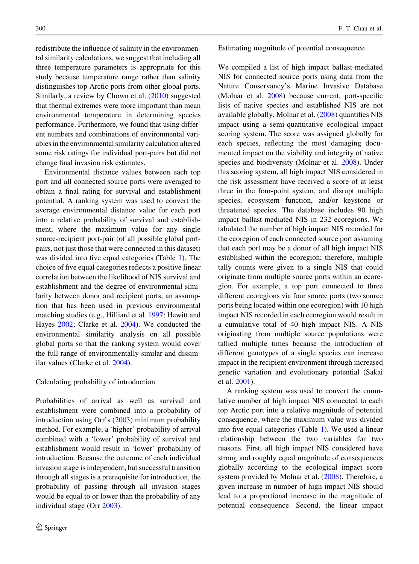redistribute the influence of salinity in the environmental similarity calculations, we suggest that including all three temperature parameters is appropriate for this study because temperature range rather than salinity distinguishes top Arctic ports from other global ports. Similarly, a review by Chown et al. [\(2010\)](#page-11-0) suggested that thermal extremes were more important than mean environmental temperature in determining species performance. Furthermore, we found that using different numbers and combinations of environmental variables in the environmental similarity calculation altered some risk ratings for individual port-pairs but did not change final invasion risk estimates.

Environmental distance values between each top port and all connected source ports were averaged to obtain a final rating for survival and establishment potential. A ranking system was used to convert the average environmental distance value for each port into a relative probability of survival and establishment, where the maximum value for any single source-recipient port-pair (of all possible global portpairs, not just those that were connected in this dataset) was divided into five equal categories (Table [1\)](#page-4-0). The choice of five equal categories reflects a positive linear correlation between the likelihood of NIS survival and establishment and the degree of environmental similarity between donor and recipient ports, an assumption that has been used in previous environmental matching studies (e.g., Hilliard et al. [1997](#page-11-0); Hewitt and Hayes [2002;](#page-11-0) Clarke et al. [2004](#page-11-0)). We conducted the environmental similarity analysis on all possible global ports so that the ranking system would cover the full range of environmentally similar and dissimilar values (Clarke et al. [2004\)](#page-11-0).

## Calculating probability of introduction

Probabilities of arrival as well as survival and establishment were combined into a probability of introduction using Orr's [\(2003](#page-12-0)) minimum probability method. For example, a 'higher' probability of arrival combined with a 'lower' probability of survival and establishment would result in 'lower' probability of introduction. Because the outcome of each individual invasion stage is independent, but successful transition through all stages is a prerequisite for introduction, the probability of passing through all invasion stages would be equal to or lower than the probability of any individual stage (Orr [2003\)](#page-12-0).

Estimating magnitude of potential consequence

We compiled a list of high impact ballast-mediated NIS for connected source ports using data from the Nature Conservancy's Marine Invasive Database (Molnar et al. [2008\)](#page-12-0) because current, port-specific lists of native species and established NIS are not available globally. Molnar et al. ([2008\)](#page-12-0) quantifies NIS impact using a semi-quantitative ecological impact scoring system. The score was assigned globally for each species, reflecting the most damaging documented impact on the viability and integrity of native species and biodiversity (Molnar et al. [2008](#page-12-0)). Under this scoring system, all high impact NIS considered in the risk assessment have received a score of at least three in the four-point system, and disrupt multiple species, ecosystem function, and/or keystone or threatened species. The database includes 90 high impact ballast-mediated NIS in 232 ecoregions. We tabulated the number of high impact NIS recorded for the ecoregion of each connected source port assuming that each port may be a donor of all high impact NIS established within the ecoregion; therefore, multiple tally counts were given to a single NIS that could originate from multiple source ports within an ecoregion. For example, a top port connected to three different ecoregions via four source ports (two source ports being located within one ecoregion) with 10 high impact NIS recorded in each ecoregion would result in a cumulative total of 40 high impact NIS. A NIS originating from multiple source populations were tallied multiple times because the introduction of different genotypes of a single species can increase impact in the recipient environment through increased genetic variation and evolutionary potential (Sakai et al. [2001](#page-12-0)).

A ranking system was used to convert the cumulative number of high impact NIS connected to each top Arctic port into a relative magnitude of potential consequence, where the maximum value was divided into five equal categories (Table [1\)](#page-4-0). We used a linear relationship between the two variables for two reasons. First, all high impact NIS considered have strong and roughly equal magnitude of consequences globally according to the ecological impact score system provided by Molnar et al. [\(2008](#page-12-0)). Therefore, a given increase in number of high impact NIS should lead to a proportional increase in the magnitude of potential consequence. Second, the linear impact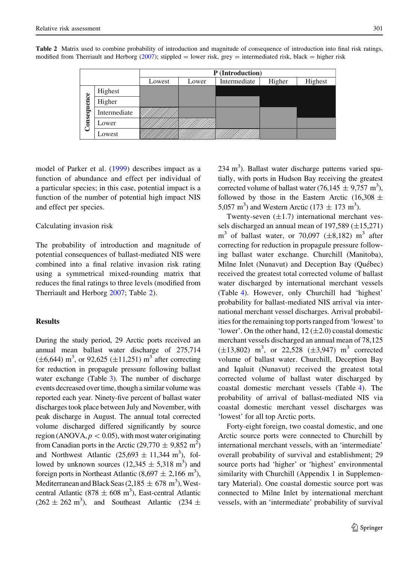|            |              |        |       | P (Introduction) |        |         |
|------------|--------------|--------|-------|------------------|--------|---------|
|            |              | Lowest | Lower | Intermediate     | Higher | Highest |
|            | Highest      |        |       |                  |        |         |
|            | Higher       |        |       |                  |        |         |
| onsequence | Intermediate |        |       |                  |        |         |
|            | Lower        |        |       |                  |        |         |
| C          | Lowest       |        |       |                  |        |         |

Table 2 Matrix used to combine probability of introduction and magnitude of consequence of introduction into final risk ratings, modified from Therriault and Herborg ([2007\)](#page-13-0); stippled = lower risk, grey = intermediated risk, black = higher risk

model of Parker et al. [\(1999\)](#page-12-0) describes impact as a function of abundance and effect per individual of a particular species; in this case, potential impact is a function of the number of potential high impact NIS and effect per species.

## Calculating invasion risk

The probability of introduction and magnitude of potential consequences of ballast-mediated NIS were combined into a final relative invasion risk rating using a symmetrical mixed-rounding matrix that reduces the final ratings to three levels (modified from Therriault and Herborg [2007;](#page-13-0) Table 2).

## Results

During the study period, 29 Arctic ports received an annual mean ballast water discharge of 275,714  $(\pm 6,644)$  m<sup>3</sup>, or 92,625 ( $\pm 11,251$ ) m<sup>3</sup> after correcting for reduction in propagule pressure following ballast water exchange (Table [3\)](#page-7-0). The number of discharge events decreased over time, though a similar volume was reported each year. Ninety-five percent of ballast water discharges took place between July and November, with peak discharge in August. The annual total corrected volume discharged differed significantly by source region (ANOVA,  $p < 0.05$ ), with most water originating from Canadian ports in the Arctic (29,770  $\pm$  9,852 m<sup>2</sup>) and Northwest Atlantic  $(25,693 \pm 11,344 \text{ m}^3)$ , followed by unknown sources  $(12,345 \pm 5,318 \text{ m}^3)$  and foreign ports in Northeast Atlantic  $(8,697 \pm 2,166 \text{ m}^3)$ , Mediterranean and Black Seas (2,185  $\pm$  678 m<sup>3</sup>), Westcentral Atlantic (878  $\pm$  608 m<sup>3</sup>), East-central Atlantic  $(262 \pm 262 \text{ m}^3)$ , and Southeast Atlantic  $(234 \pm$ 

234 m<sup>3</sup>). Ballast water discharge patterns varied spatially, with ports in Hudson Bay receiving the greatest corrected volume of ballast water (76,145  $\pm$  9,757 m<sup>3</sup>), followed by those in the Eastern Arctic (16,308  $\pm$ 5,057 m<sup>3</sup>) and Western Arctic (173  $\pm$  173 m<sup>3</sup>).

Twenty-seven  $(\pm 1.7)$  international merchant vessels discharged an annual mean of  $197,589 \,(\pm 15,271)$  $m<sup>3</sup>$  of ballast water, or 70,097 ( $\pm$ 8,182)  $m<sup>3</sup>$  after correcting for reduction in propagule pressure following ballast water exchange. Churchill (Manitoba), Milne Inlet (Nunavut) and Deception Bay (Québec) received the greatest total corrected volume of ballast water discharged by international merchant vessels (Table [4](#page-8-0)). However, only Churchill had 'highest' probability for ballast-mediated NIS arrival via international merchant vessel discharges. Arrival probabilities for the remaining top ports ranged from 'lowest' to 'lower'. On the other hand,  $12 (\pm 2.0)$  coastal domestic merchant vessels discharged an annual mean of 78,125  $(\pm 13,802)$  m<sup>3</sup>, or 22,528  $(\pm 3,947)$  m<sup>3</sup> corrected volume of ballast water. Churchill, Deception Bay and Iqaluit (Nunavut) received the greatest total corrected volume of ballast water discharged by coastal domestic merchant vessels (Table [4\)](#page-8-0). The probability of arrival of ballast-mediated NIS via coastal domestic merchant vessel discharges was 'lowest' for all top Arctic ports.

Forty-eight foreign, two coastal domestic, and one Arctic source ports were connected to Churchill by international merchant vessels, with an 'intermediate' overall probability of survival and establishment; 29 source ports had 'higher' or 'highest' environmental similarity with Churchill (Appendix 1 in Supplementary Material). One coastal domestic source port was connected to Milne Inlet by international merchant vessels, with an 'intermediate' probability of survival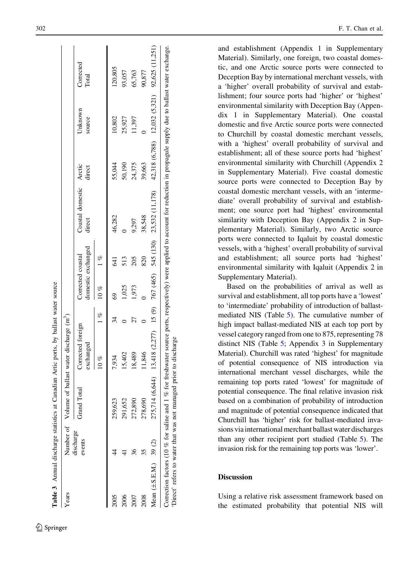<span id="page-7-0"></span>

|       |                            | Table 3 Annual discharge statistics at Canadian Artic ports, by ballast water source                                                                                                                                                                |                                           |        |                                         |       |                                                                                       |        |                                               |                    |
|-------|----------------------------|-----------------------------------------------------------------------------------------------------------------------------------------------------------------------------------------------------------------------------------------------------|-------------------------------------------|--------|-----------------------------------------|-------|---------------------------------------------------------------------------------------|--------|-----------------------------------------------|--------------------|
| Years |                            | Number of Volume of                                                                                                                                                                                                                                 | ballast water discharge (m <sup>3</sup> ) |        |                                         |       |                                                                                       |        |                                               |                    |
|       | discharge<br>events        | Grand Tota                                                                                                                                                                                                                                          | Corrected foreign<br>exchanged            |        | domestic exchanged<br>Corrected coastal |       | Coastal domestic Arctic<br>direct                                                     | direct | Unknown<br>source                             | Corrected<br>Total |
|       |                            |                                                                                                                                                                                                                                                     | $10~\%$                                   | $1 \%$ | $10\%$                                  | $1\%$ |                                                                                       |        |                                               |                    |
| 2005  |                            | 259,623                                                                                                                                                                                                                                             | 7,934                                     | 34     | ç                                       | $\Xi$ | 46,282                                                                                | 55,044 | 10,802                                        | 120,805            |
|       |                            | 291,652                                                                                                                                                                                                                                             | 15,402                                    |        | 1,025                                   | 513   |                                                                                       | 50,190 | 25,927                                        | 93,057             |
| 2007  |                            | 272,890                                                                                                                                                                                                                                             | 18,489                                    |        | 1,973                                   | 205   | 9,297                                                                                 | 24,375 | 11,397                                        | 65,763             |
| 2008  | 35                         | 278,690                                                                                                                                                                                                                                             | 11,846                                    |        |                                         | 820   | 38,548                                                                                | 39,663 |                                               | 90,877             |
|       | Mean $(\pm S.E.M.)$ 39 (2) |                                                                                                                                                                                                                                                     |                                           |        |                                         |       | $275,714$ (6,644) $13,418$ (2,277) $15$ (9) $767$ (465) $545$ (130) $23,532$ (11,178) |        | 42,318 (6,788) 12,032 (5,321) 92,625 (11,251) |                    |
|       |                            | Correction factors (10 % for saline and 1 % for freshwater source ports, respectively) were applied to account for reduction in propagule supply due to ballast water exchange.<br>'Direct' refers to water that was not managed prior to discharge |                                           |        |                                         |       |                                                                                       |        |                                               |                    |

 $\circledcirc$  Springer

and establishment (Appendix 1 in Supplementary Material). Similarly, one foreign, two coastal domestic, and one Arctic source ports were connected to Deception Bay by international merchant vessels, with a 'higher' overall probability of survival and establishment; four source ports had 'higher' or 'highest' environmental similarity with Deception Bay (Appendix 1 in Supplementary Material). One coastal domestic and five Arctic source ports were connected to Churchill by coastal domestic merchant vessels, with a 'highest' overall probability of survival and establishment; all of these source ports had 'highest' environmental similarity with Churchill (Appendix 2 in Supplementary Material). Five coastal domestic source ports were connected to Deception Bay by coastal domestic merchant vessels, with an 'intermediate' overall probability of survival and establishment; one source port had 'highest' environmental similarity with Deception Bay (Appendix 2 in Supplementary Material). Similarly, two Arctic source ports were connected to Iqaluit by coastal domestic vessels, with a 'highest' overall probability of survival and establishment; all source ports had 'highest' environmental similarity with Iqaluit (Appendix 2 in Supplementary Material).

Based on the probabilities of arrival as well as survival and establishment, all top ports have a 'lowest' to 'intermediate' probability of introduction of ballastmediated NIS (Table [5](#page-8-0)). The cumulative number of high impact ballast-mediated NIS at each top port by vessel category ranged from one to 875, representing 78 distinct NIS (Table [5](#page-8-0); Appendix 3 in Supplementary Material). Churchill was rated 'highest' for magnitude of potential consequence of NIS introduction via international merchant vessel discharges, while the remaining top ports rated 'lowest' for magnitude of potential consequence. The final relative invasion risk based on a combination of probability of introduction and magnitude of potential consequence indicated that Churchill has 'higher' risk for ballast-mediated invasions via international merchant ballast water discharges than any other recipient port studied (Table [5\)](#page-8-0). The invasion risk for the remaining top ports was 'lower'.

## **Discussion**

Using a relative risk assessment framework based on the estimated probability that potential NIS will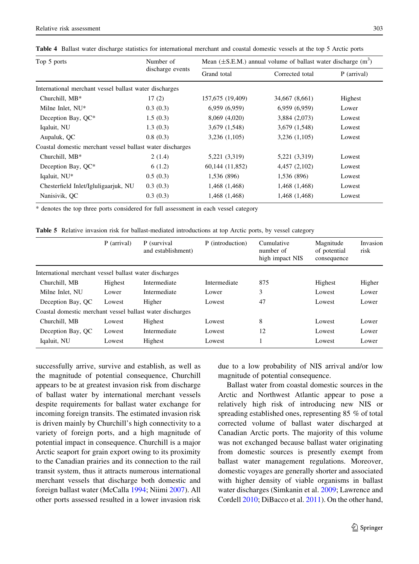| Top 5 ports                                               | Number of        | Mean ( $\pm$ S.E.M.) annual volume of ballast water discharge (m <sup>3</sup> ) |                 |             |  |
|-----------------------------------------------------------|------------------|---------------------------------------------------------------------------------|-----------------|-------------|--|
|                                                           | discharge events | Grand total                                                                     | Corrected total | P (arrival) |  |
| International merchant vessel ballast water discharges    |                  |                                                                                 |                 |             |  |
| Churchill, MB*                                            | 17(2)            | 157,675 (19,409)                                                                | 34,667 (8,661)  | Highest     |  |
| Milne Inlet, NU*                                          | 0.3(0.3)         | 6,959(6,959)                                                                    | 6,959(6,959)    | Lower       |  |
| Deception Bay, QC*                                        | 1.5(0.3)         | 8,069 (4,020)                                                                   | 3,884 (2,073)   | Lowest      |  |
| Iqaluit, NU                                               | 1.3(0.3)         | 3,679 (1,548)                                                                   | 3,679 (1,548)   | Lowest      |  |
| Aupaluk, QC                                               | 0.8(0.3)         | 3,236 (1,105)                                                                   | 3,236 (1,105)   | Lowest      |  |
| Coastal domestic merchant vessel ballast water discharges |                  |                                                                                 |                 |             |  |
| Churchill, MB*                                            | 2(1.4)           | 5,221 (3,319)                                                                   | 5,221 (3,319)   | Lowest      |  |
| Deception Bay, QC*                                        | 6(1.2)           | 60,144 (11,852)                                                                 | 4,457(2,102)    | Lowest      |  |
| Igaluit, NU*                                              | 0.5(0.3)         | 1,536 (896)                                                                     | 1,536 (896)     | Lowest      |  |
| Chesterfield Inlet/Igluligaarjuk, NU                      | 0.3(0.3)         | 1,468 (1,468)                                                                   | 1,468 (1,468)   | Lowest      |  |
| Nanisivik, OC                                             | 0.3(0.3)         | 1,468 (1,468)                                                                   | 1,468 (1,468)   | Lowest      |  |

<span id="page-8-0"></span>Table 4 Ballast water discharge statistics for international merchant and coastal domestic vessels at the top 5 Arctic ports

\* denotes the top three ports considered for full assessment in each vessel category

Table 5 Relative invasion risk for ballast-mediated introductions at top Arctic ports, by vessel category

|                                                           | P (arrival) | P (survival)<br>and establishment) | P (introduction) | Cumulative<br>number of<br>high impact NIS | Magnitude<br>of potential<br>consequence | Invasion<br>risk |
|-----------------------------------------------------------|-------------|------------------------------------|------------------|--------------------------------------------|------------------------------------------|------------------|
| International merchant vessel ballast water discharges    |             |                                    |                  |                                            |                                          |                  |
| Churchill, MB                                             | Highest     | Intermediate                       | Intermediate     | 875                                        | Highest                                  | Higher           |
| Milne Inlet, NU                                           | Lower       | Intermediate                       | Lower            | 3                                          | Lowest                                   | Lower            |
| Deception Bay, OC                                         | Lowest      | Higher                             | Lowest           | 47                                         | Lowest                                   | Lower            |
| Coastal domestic merchant vessel ballast water discharges |             |                                    |                  |                                            |                                          |                  |
| Churchill, MB                                             | Lowest      | Highest                            | Lowest           | 8                                          | Lowest                                   | Lower            |
| Deception Bay, OC                                         | Lowest      | Intermediate                       | Lowest           | 12                                         | Lowest                                   | Lower            |
| Iqaluit, NU                                               | Lowest      | Highest                            | Lowest           | 1                                          | Lowest                                   | Lower            |

successfully arrive, survive and establish, as well as the magnitude of potential consequence, Churchill appears to be at greatest invasion risk from discharge of ballast water by international merchant vessels despite requirements for ballast water exchange for incoming foreign transits. The estimated invasion risk is driven mainly by Churchill's high connectivity to a variety of foreign ports, and a high magnitude of potential impact in consequence. Churchill is a major Arctic seaport for grain export owing to its proximity to the Canadian prairies and its connection to the rail transit system, thus it attracts numerous international merchant vessels that discharge both domestic and foreign ballast water (McCalla [1994;](#page-12-0) Niimi [2007](#page-12-0)). All other ports assessed resulted in a lower invasion risk due to a low probability of NIS arrival and/or low magnitude of potential consequence.

Ballast water from coastal domestic sources in the Arctic and Northwest Atlantic appear to pose a relatively high risk of introducing new NIS or spreading established ones, representing 85 % of total corrected volume of ballast water discharged at Canadian Arctic ports. The majority of this volume was not exchanged because ballast water originating from domestic sources is presently exempt from ballast water management regulations. Moreover, domestic voyages are generally shorter and associated with higher density of viable organisms in ballast water discharges (Simkanin et al. [2009](#page-12-0); Lawrence and Cordell [2010;](#page-12-0) DiBacco et al. [2011\)](#page-11-0). On the other hand,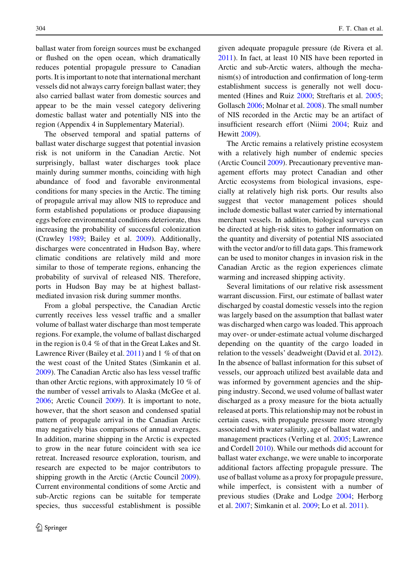ballast water from foreign sources must be exchanged or flushed on the open ocean, which dramatically reduces potential propagule pressure to Canadian ports. It is important to note that international merchant vessels did not always carry foreign ballast water; they also carried ballast water from domestic sources and appear to be the main vessel category delivering domestic ballast water and potentially NIS into the region (Appendix 4 in Supplementary Material).

The observed temporal and spatial patterns of ballast water discharge suggest that potential invasion risk is not uniform in the Canadian Arctic. Not surprisingly, ballast water discharges took place mainly during summer months, coinciding with high abundance of food and favorable environmental conditions for many species in the Arctic. The timing of propagule arrival may allow NIS to reproduce and form established populations or produce diapausing eggs before environmental conditions deteriorate, thus increasing the probability of successful colonization (Crawley [1989;](#page-11-0) Bailey et al. [2009\)](#page-11-0). Additionally, discharges were concentrated in Hudson Bay, where climatic conditions are relatively mild and more similar to those of temperate regions, enhancing the probability of survival of released NIS. Therefore, ports in Hudson Bay may be at highest ballastmediated invasion risk during summer months.

From a global perspective, the Canadian Arctic currently receives less vessel traffic and a smaller volume of ballast water discharge than most temperate regions. For example, the volume of ballast discharged in the region is 0.4 % of that in the Great Lakes and St. Lawrence River (Bailey et al. [2011\)](#page-11-0) and 1 % of that on the west coast of the United States (Simkanin et al. [2009\)](#page-12-0). The Canadian Arctic also has less vessel traffic than other Arctic regions, with approximately 10 % of the number of vessel arrivals to Alaska (McGee et al. [2006;](#page-12-0) Arctic Council [2009\)](#page-11-0). It is important to note, however, that the short season and condensed spatial pattern of propagule arrival in the Canadian Arctic may negatively bias comparisons of annual averages. In addition, marine shipping in the Arctic is expected to grow in the near future coincident with sea ice retreat. Increased resource exploration, tourism, and research are expected to be major contributors to shipping growth in the Arctic (Arctic Council [2009](#page-11-0)). Current environmental conditions of some Arctic and sub-Arctic regions can be suitable for temperate species, thus successful establishment is possible

given adequate propagule pressure (de Rivera et al. [2011\)](#page-11-0). In fact, at least 10 NIS have been reported in Arctic and sub-Arctic waters, although the mechanism(s) of introduction and confirmation of long-term establishment success is generally not well documented (Hines and Ruiz [2000;](#page-11-0) Streftaris et al. [2005](#page-13-0); Gollasch [2006;](#page-11-0) Molnar et al. [2008](#page-12-0)). The small number of NIS recorded in the Arctic may be an artifact of insufficient research effort (Niimi [2004](#page-12-0); Ruiz and Hewitt [2009\)](#page-12-0).

The Arctic remains a relatively pristine ecosystem with a relatively high number of endemic species (Arctic Council [2009](#page-11-0)). Precautionary preventive management efforts may protect Canadian and other Arctic ecosystems from biological invasions, especially at relatively high risk ports. Our results also suggest that vector management polices should include domestic ballast water carried by international merchant vessels. In addition, biological surveys can be directed at high-risk sites to gather information on the quantity and diversity of potential NIS associated with the vector and/or to fill data gaps. This framework can be used to monitor changes in invasion risk in the Canadian Arctic as the region experiences climate warming and increased shipping activity.

Several limitations of our relative risk assessment warrant discussion. First, our estimate of ballast water discharged by coastal domestic vessels into the region was largely based on the assumption that ballast water was discharged when cargo was loaded. This approach may over- or under-estimate actual volume discharged depending on the quantity of the cargo loaded in relation to the vessels' deadweight (David et al. [2012](#page-11-0)). In the absence of ballast information for this subset of vessels, our approach utilized best available data and was informed by government agencies and the shipping industry. Second, we used volume of ballast water discharged as a proxy measure for the biota actually released at ports. This relationship may not be robust in certain cases, with propagule pressure more strongly associated with water salinity, age of ballast water, and management practices (Verling et al. [2005](#page-13-0); Lawrence and Cordell [2010\)](#page-12-0). While our methods did account for ballast water exchange, we were unable to incorporate additional factors affecting propagule pressure. The use of ballast volume as a proxy for propagule pressure, while imperfect, is consistent with a number of previous studies (Drake and Lodge [2004](#page-11-0); Herborg et al. [2007;](#page-11-0) Simkanin et al. [2009](#page-12-0); Lo et al. [2011\)](#page-12-0).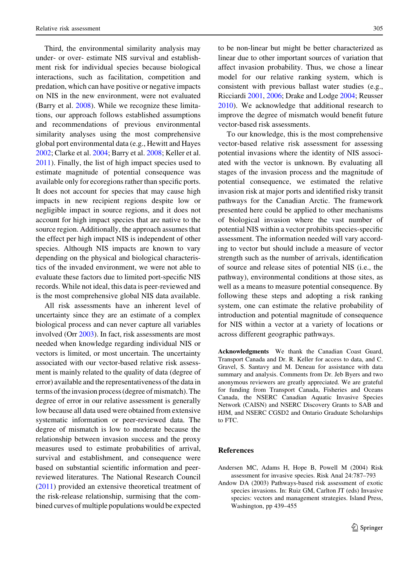<span id="page-10-0"></span>Third, the environmental similarity analysis may under- or over- estimate NIS survival and establishment risk for individual species because biological interactions, such as facilitation, competition and predation, which can have positive or negative impacts on NIS in the new environment, were not evaluated (Barry et al. [2008\)](#page-11-0). While we recognize these limitations, our approach follows established assumptions and recommendations of previous environmental similarity analyses using the most comprehensive global port environmental data (e.g., Hewitt and Hayes [2002;](#page-11-0) Clarke et al. [2004](#page-11-0); Barry et al. [2008](#page-11-0); Keller et al. [2011\)](#page-11-0). Finally, the list of high impact species used to estimate magnitude of potential consequence was available only for ecoregions rather than specific ports. It does not account for species that may cause high impacts in new recipient regions despite low or negligible impact in source regions, and it does not account for high impact species that are native to the source region. Additionally, the approach assumes that the effect per high impact NIS is independent of other species. Although NIS impacts are known to vary depending on the physical and biological characteristics of the invaded environment, we were not able to evaluate these factors due to limited port-specific NIS records. While not ideal, this data is peer-reviewed and is the most comprehensive global NIS data available.

All risk assessments have an inherent level of uncertainty since they are an estimate of a complex biological process and can never capture all variables involved (Orr [2003\)](#page-12-0). In fact, risk assessments are most needed when knowledge regarding individual NIS or vectors is limited, or most uncertain. The uncertainty associated with our vector-based relative risk assessment is mainly related to the quality of data (degree of error) available and the representativeness of the data in terms of the invasion process (degree of mismatch). The degree of error in our relative assessment is generally low because all data used were obtained from extensive systematic information or peer-reviewed data. The degree of mismatch is low to moderate because the relationship between invasion success and the proxy measures used to estimate probabilities of arrival, survival and establishment, and consequence were based on substantial scientific information and peerreviewed literatures. The National Research Council [\(2011\)](#page-12-0) provided an extensive theoretical treatment of the risk-release relationship, surmising that the combined curves of multiple populations would be expected

to be non-linear but might be better characterized as linear due to other important sources of variation that affect invasion probability. Thus, we chose a linear model for our relative ranking system, which is consistent with previous ballast water studies (e.g., Ricciardi [2001](#page-12-0), [2006;](#page-12-0) Drake and Lodge [2004;](#page-11-0) Reusser [2010\)](#page-12-0). We acknowledge that additional research to improve the degree of mismatch would benefit future vector-based risk assessments.

To our knowledge, this is the most comprehensive vector-based relative risk assessment for assessing potential invasions where the identity of NIS associated with the vector is unknown. By evaluating all stages of the invasion process and the magnitude of potential consequence, we estimated the relative invasion risk at major ports and identified risky transit pathways for the Canadian Arctic. The framework presented here could be applied to other mechanisms of biological invasion where the vast number of potential NIS within a vector prohibits species-specific assessment. The information needed will vary according to vector but should include a measure of vector strength such as the number of arrivals, identification of source and release sites of potential NIS (i.e., the pathway), environmental conditions at those sites, as well as a means to measure potential consequence. By following these steps and adopting a risk ranking system, one can estimate the relative probability of introduction and potential magnitude of consequence for NIS within a vector at a variety of locations or across different geographic pathways.

Acknowledgments We thank the Canadian Coast Guard, Transport Canada and Dr. R. Keller for access to data, and C. Gravel, S. Santavy and M. Deneau for assistance with data summary and analysis. Comments from Dr. Jeb Byers and two anonymous reviewers are greatly appreciated. We are grateful for funding from Transport Canada, Fisheries and Oceans Canada, the NSERC Canadian Aquatic Invasive Species Network (CAISN) and NSERC Discovery Grants to SAB and HJM, and NSERC CGSD2 and Ontario Graduate Scholarships to FTC.

## References

- Andersen MC, Adams H, Hope B, Powell M (2004) Risk assessment for invasive species. Risk Anal 24:787–793
- Andow DA (2003) Pathways-based risk assessment of exotic species invasions. In: Ruiz GM, Carlton JT (eds) Invasive species: vectors and management strategies. Island Press, Washington, pp 439–455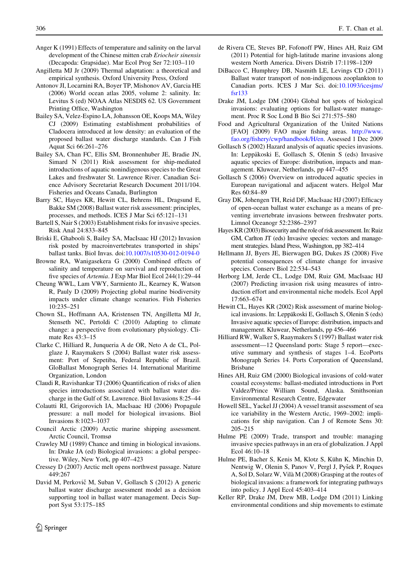- <span id="page-11-0"></span>Anger K (1991) Effects of temperature and salinity on the larval development of the Chinese mitten crab Eriocheir sinensis (Decapoda: Grapsidae). Mar Ecol Prog Ser 72:103–110
- Angilletta MJ Jr (2009) Thermal adaptation: a theoretical and empirical synthesis. Oxford University Press, Oxford
- Antonov JI, Locarnini RA, Boyer TP, Mishonov AV, Garcia HE (2006) World ocean atlas 2005, volume 2: salinity. In: Levitus S (ed) NOAA Atlas NESDIS 62. US Government Printing Office, Washington
- Bailey SA, Velez-Espino LA, Johansson OE, Koops MA, Wiley CJ (2009) Estimating establishment probabilities of Cladocera introduced at low density: an evaluation of the proposed ballast water discharge standards. Can J Fish Aquat Sci 66:261–276
- Bailey SA, Chan FC, Ellis SM, Bronnenhuber JE, Bradie JN, Simard N (2011) Risk assessment for ship-mediated introductions of aquatic nonindigenous species to the Great Lakes and freshwater St. Lawrence River. Canadian Science Advisory Secretariat Research Document 2011/104. Fisheries and Oceans Canada, Burlington
- Barry SC, Hayes KR, Hewitt CL, Behrens HL, Dragsund E, Bakke SM (2008) Ballast water risk assessment: principles, processes, and methods. ICES J Mar Sci 65:121–131
- Bartell S, Nair S (2003) Establishment risks for invasive species. Risk Anal 24:833–845
- Briski E, Ghabooli S, Bailey SA, MacIsaac HJ (2012) Invasion risk posted by macroinvertebrates transported in ships' ballast tanks. Biol Invas. doi:[10.1007/s10530-012-0194-0](http://dx.doi.org/10.1007/s10530-012-0194-0)
- Browne RA, Wanigasekera G (2000) Combined effects of salinity and temperature on survival and reproduction of five species of Artemia. J Exp Mar Biol Ecol 244(1):29–44
- Cheung WWL, Lam VWY, Sarmiento JL, Kearney K, Watson R, Pauly D (2009) Projecting global marine biodiversity impacts under climate change scenarios. Fish Fisheries 10:235–251
- Chown SL, Hoffmann AA, Kristensen TN, Angilletta MJ Jr, Stenseth NC, Pertoldi C (2010) Adapting to climate change: a perspective from evolutionary physiology. Climate Res 43:3–15
- Clarke C, Hilliard R, Junqueria A de OR, Neto A de CL, Polglaze J, Raaymakers S (2004) Ballast water risk assessment: Port of Sepetiba, Federal Republic of Brazil. GloBallast Monograph Series 14. International Maritime Organization, London
- Claudi R, Ravishankar TJ (2006) Quantification of risks of alien species introductions associated with ballast water discharge in the Gulf of St. Lawrence. Biol Invasions 8:25–44
- Colautti RI, Grigorovich IA, MacIsaac HJ (2006) Propagule pressure: a null model for biological invasions. Biol Invasions 8:1023–1037
- Council Arctic (2009) Arctic marine shipping assessment. Arctic Council, Tromsø
- Crawley MJ (1989) Chance and timing in biological invasions. In: Drake JA (ed) Biological invasions: a global perspective. Wiley, New York, pp 407–423
- Cressey D (2007) Arctic melt opens northwest passage. Nature 449:267
- David M, Perkovič M, Suban V, Gollasch S (2012) A generic ballast water discharge assessment model as a decision supporting tool in ballast water management. Decis Support Syst 53:175–185
- de Rivera CE, Steves BP, Fofonoff PW, Hines AH, Ruiz GM (2011) Potential for high-latitude marine invasions along western North America. Divers Distrib 17:1198–1209
- DiBacco C, Humphrey DB, Nasmith LE, Levings CD (2011) Ballast water transport of non-indigenous zooplankton to Canadian ports. ICES J Mar Sci. doi:[10.1093/icesjms/](http://dx.doi.org/10.1093/icesjms/fsr133) [fsr133](http://dx.doi.org/10.1093/icesjms/fsr133)
- Drake JM, Lodge DM (2004) Global hot spots of biological invasions: evaluating options for ballast-water management. Proc R Soc Lond B Bio Sci 271:575–580
- Food and Agricultural Organization of the United Nations [FAO] (2009) FAO major fishing areas. [http://www.](http://www.fao.org/fishery/cwp/handbook/H/en) [fao.org/fishery/cwp/handbook/H/en.](http://www.fao.org/fishery/cwp/handbook/H/en) Assessed 1 Dec 2009
- Gollasch S (2002) Hazard analysis of aquatic species invasions. In: Leppäkoski E, Gollasch S, Olenin S (eds) Invasive aquatic species of Europe: distribution, impacts and management. Kluwear, Netherlands, pp 447–455
- Gollasch S (2006) Overview on introduced aquatic species in European navigational and adjacent waters. Helgol Mar Res 60:84–89
- Gray DK, Johengen TH, Reid DF, MacIsaac HJ (2007) Efficacy of open-ocean ballast water exchange as a means of preventing invertebrate invasions between freshwater ports. Limnol Oceanogr 52:2386–2397
- Hayes KR (2003) Biosecurity and the role of risk assessment. In: Ruiz GM, Carlton JT (eds) Invasive species: vectors and management strategies. Island Press, Washington, pp 382–414
- Hellmann JJ, Byers JE, Bierwagen BG, Dukes JS (2008) Five potential consequences of climate change for invasive species. Conserv Biol 22:534–543
- Herborg LM, Jerde CL, Lodge DM, Ruiz GM, MacIsaac HJ (2007) Predicting invasion risk using measures of introduction effort and environmental niche models. Ecol Appl 17:663–674
- Hewitt CL, Hayes KR (2002) Risk assessment of marine biological invasions. In: Leppäkoski E, Gollasch S, Olenin S (eds) Invasive aquatic species of Europe: distribution, impacts and management. Kluwear, Netherlands, pp 456–466
- Hilliard RW, Walker S, Raaymakers S (1997) Ballast water risk assessment—12 Queensland ports: Stage 5 report—executive summary and synthesis of stages 1–4. EcoPorts Monograph Series 14. Ports Corporation of Queensland, Brisbane
- Hines AH, Ruiz GM (2000) Biological invasions of cold-water coastal ecosystems: ballast-mediated introductions in Port Valdez/Prince William Sound, Alaska. Smithsonian Environmental Research Centre, Edgewater
- Howell SEL, Yackel JJ (2004) A vessel transit assessment of sea ice variability in the Western Arctic, 1969–2002: implications for ship navigation. Can J of Remote Sens 30: 205–215
- Hulme PE (2009) Trade, transport and trouble: managing invasive species pathways in an era of globalization. J Appl Ecol 46:10–18
- Hulme PE, Bacher S, Kenis M, Klotz S, Kühn K, Minchin D, Nentwig W, Olenin S, Panov V, Pergl J, Pyšek P, Roques A, Sol D, Solarz W, Vila` M (2008) Grasping at the routes of biological invasions: a framework for integrating pathways into policy. J Appl Ecol 45:403–414
- Keller RP, Drake JM, Drew MB, Lodge DM (2011) Linking environmental conditions and ship movements to estimate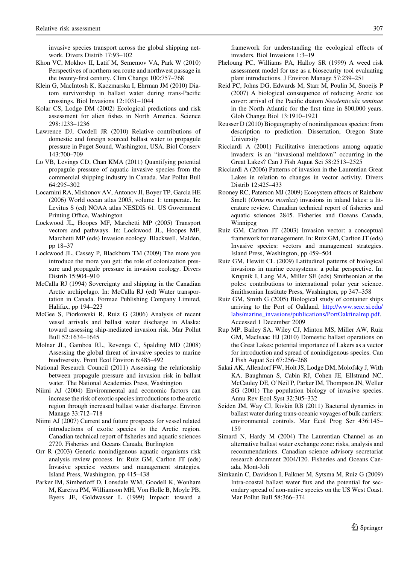<span id="page-12-0"></span>invasive species transport across the global shipping network. Divers Distrib 17:93–102

- Khon VC, Mokhov II, Latif M, Sememov VA, Park W (2010) Perspectives of northern sea route and northwest passage in the twenty-first century. Clim Change 100:757–768
- Klein G, MacIntosh K, Kaczmarska I, Ehrman JM (2010) Diatom survivorship in ballast water during trans-Pacific crossings. Biol Invasions 12:1031–1044
- Kolar CS, Lodge DM (2002) Ecological predictions and risk assessment for alien fishes in North America. Science 298:1233–1236
- Lawrence DJ, Cordell JR (2010) Relative contributions of domestic and foreign sourced ballast water to propagule pressure in Puget Sound, Washington, USA. Biol Conserv 143:700–709
- Lo VB, Levings CD, Chan KMA (2011) Quantifying potential propagule pressure of aquatic invasive species from the commercial shipping industry in Canada. Mar Pollut Bull 64:295–302
- Locarnini RA, Mishonov AV, Antonov JI, Boyer TP, Garcia HE (2006) World ocean atlas 2005, volume 1: temperate. In: Levitus S (ed) NOAA atlas NESDIS 61. US Government Printing Office, Washington
- Lockwood JL, Hoopes MF, Marchetti MP (2005) Transport vectors and pathways. In: Lockwood JL, Hoopes MF, Marchetti MP (eds) Invasion ecology. Blackwell, Malden, pp 18–37
- Lockwood JL, Cassey P, Blackburn TM (2009) The more you introduce the more you get: the role of colonization pressure and propagule pressure in invasion ecology. Divers Distrib 15:904–910
- McCalla RJ (1994) Sovereignty and shipping in the Canadian Arctic archipelago. In: McCalla RJ (ed) Water transportation in Canada. Formae Publishing Company Limited, Halifax, pp 194–223
- McGee S, Piorkowski R, Ruiz G (2006) Analysis of recent vessel arrivals and ballast water discharge in Alaska: toward assessing ship-mediated invasion risk. Mar Pollut Bull 52:1634–1645
- Molnar JL, Gamboa RL, Revenga C, Spalding MD (2008) Assessing the global threat of invasive species to marine biodiversity. Front Ecol Environ 6:485–492
- National Research Council (2011) Assessing the relationship between propagule pressure and invasion risk in ballast water. The National Academies Press, Washington
- Niimi AJ (2004) Environmental and economic factors can increase the risk of exotic species introductions to the arctic region through increased ballast water discharge. Environ Manage 33:712–718
- Niimi AJ (2007) Current and future prospects for vessel related introductions of exotic species to the Arctic region. Canadian technical report of fisheries and aquatic sciences 2720. Fisheries and Oceans Canada, Burlington
- Orr R (2003) Generic nonindigenous aquatic organisms risk analysis review process. In: Ruiz GM, Carlton JT (eds) Invasive species: vectors and management strategies. Island Press, Washington, pp 415–438
- Parker IM, Simberloff D, Lonsdale WM, Goodell K, Wonham M, Kareiva PM, Williamson MH, Von Holle B, Moyle PB, Byers JE, Goldwasser L (1999) Impact: toward a

framework for understanding the ecological effects of invaders. Biol Invasions 1:3–19

- Pheloung PC, Williams PA, Halloy SR (1999) A weed risk assessment model for use as a biosecurity tool evaluating plant introductions. J Environ Manage 57:239–251
- Reid PC, Johns DG, Edwards M, Starr M, Poulin M, Snoeijs P (2007) A biological consequence of reducing Arctic ice cover: arrival of the Pacific diatom Neodenticula seminae in the North Atlantic for the first time in 800,000 years. Glob Change Biol 13:1910–1921
- Reusser D (2010) Biogeography of nonindigenous species: from description to prediction. Dissertation, Oregon State University
- Ricciardi A (2001) Facilitative interactions among aquatic invaders: is an ''invasional meltdown'' occurring in the Great Lakes? Can J Fish Aquat Sci 58:2513–2525
- Ricciardi A (2006) Patterns of invasion in the Laurentian Great Lakes in relation to changes in vector activity. Divers Distrib 12:425–433
- Rooney RC, Paterson MJ (2009) Ecosystem effects of Rainbow Smelt (Osmerus mordax) invasions in inland lakes: a literature review. Canadian technical report of fisheries and aquatic sciences 2845. Fisheries and Oceans Canada, Winnipeg
- Ruiz GM, Carlton JT (2003) Invasion vector: a conceptual framework for management. In: Ruiz GM, Carlton JT (eds) Invasive species: vectors and management strategies. Island Press, Washington, pp 459–504
- Ruiz GM, Hewitt CL (2009) Latitudinal patterns of biological invasions in marine ecosystems: a polar perspective. In: Krupnik I, Lang MA, Miller SE (eds) Smithsonian at the poles: contributions to international polar year science. Smithsonian Institute Press, Washington, pp 347–358
- Ruiz GM, Smith G (2005) Biological study of container ships arriving to the Port of Oakland. [http://www.serc.si.edu/](http://www.serc.si.edu/labs/marine_invasions/publications/PortOakfinalrep.pdf) [labs/marine\\_invasions/publications/PortOakfinalrep.pdf](http://www.serc.si.edu/labs/marine_invasions/publications/PortOakfinalrep.pdf). Accessed 1 December 2009
- Rup MP, Bailey SA, Wiley CJ, Minton MS, Miller AW, Ruiz GM, MacIsaac HJ (2010) Domestic ballast operations on the Great Lakes: potential importance of Lakers as a vector for introduction and spread of nonindigenous species. Can J Fish Aquat Sci 67:256–268
- Sakai AK, Allendorf FW, Holt JS, Lodge DM, Molofsky J, With KA, Baughman S, Cabin RJ, Cohen JE, Ellstrand NC, McCauley DE, O'Neil P, Parker IM, Thompson JN, Weller SG (2001) The population biology of invasive species. Annu Rev Ecol Syst 32:305–332
- Seiden JM, Way CJ, Rivkin RB (2011) Bacterial dynamics in ballast water during trans-oceanic voyages of bulk carriers: environmental controls. Mar Ecol Prog Ser 436:145– 159
- Simard N, Hardy M (2004) The Laurentian Channel as an alternative ballast water exchange zone: risks, analysis and recommendations. Canadian science advisory secretariat research document 2004/120. Fisheries and Oceans Canada, Mont-Joli
- Simkanin C, Davidson I, Falkner M, Sytsma M, Ruiz G (2009) Intra-coastal ballast water flux and the potential for secondary spread of non-native species on the US West Coast. Mar Pollut Bull 58:366–374